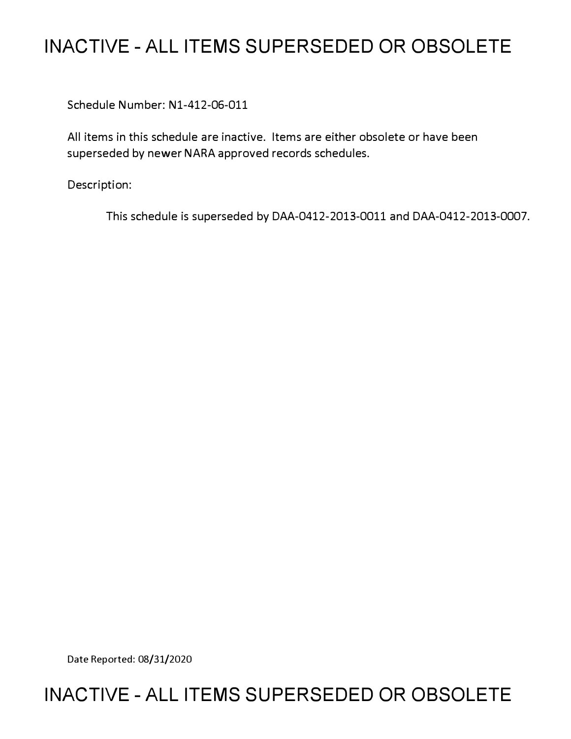# **INACTIVE - ALL ITEMS SUPERSEDED OR OBSOLETE**

Schedule Number: Nl-412-06-011

All items in this schedule are inactive. Items are either obsolete or have been superseded by newer NARA approved records schedules.

Description:

This schedule is superseded by DAA-0412-2013-0011 and DAA-0412-2013-0007.

Date Reported: 08/31/2020

# **INACTIVE - ALL ITEMS SUPERSEDED OR OBSOLETE**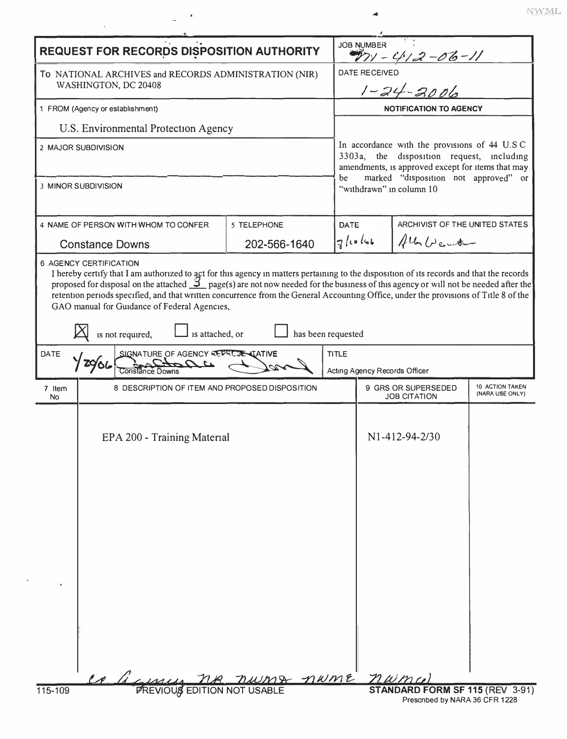|                                                                                                                                                                                                                                                                                                                                                                                                                                                                                                                                                                                     | <b>REQUEST FOR RECORDS DISPOSITION AUTHORITY</b>                                    |              | <b>JOB NUMBER</b><br>$W_2 - 4/2 - 06 - 11$                                                                                                                                                     |                                                                                  |  |  |
|-------------------------------------------------------------------------------------------------------------------------------------------------------------------------------------------------------------------------------------------------------------------------------------------------------------------------------------------------------------------------------------------------------------------------------------------------------------------------------------------------------------------------------------------------------------------------------------|-------------------------------------------------------------------------------------|--------------|------------------------------------------------------------------------------------------------------------------------------------------------------------------------------------------------|----------------------------------------------------------------------------------|--|--|
| To NATIONAL ARCHIVES and RECORDS ADMINISTRATION (NIR)<br>WASHINGTON, DC 20408                                                                                                                                                                                                                                                                                                                                                                                                                                                                                                       |                                                                                     |              |                                                                                                                                                                                                | <b>DATE RECEIVED</b><br>$1 - 24 - 3006$                                          |  |  |
| 1 FROM (Agency or establishment)                                                                                                                                                                                                                                                                                                                                                                                                                                                                                                                                                    |                                                                                     |              |                                                                                                                                                                                                | <b>NOTIFICATION TO AGENCY</b>                                                    |  |  |
| U.S. Environmental Protection Agency                                                                                                                                                                                                                                                                                                                                                                                                                                                                                                                                                |                                                                                     |              |                                                                                                                                                                                                |                                                                                  |  |  |
| 2 MAJOR SUBDIVISION                                                                                                                                                                                                                                                                                                                                                                                                                                                                                                                                                                 |                                                                                     |              | In accordance with the provisions of 44 U.S.C.<br>3303a, the disposition request, including<br>amendments, is approved except for items that may<br>marked "disposition not approved" or<br>be |                                                                                  |  |  |
|                                                                                                                                                                                                                                                                                                                                                                                                                                                                                                                                                                                     | 3 MINOR SUBDIVISION                                                                 |              | "withdrawn" in column 10                                                                                                                                                                       |                                                                                  |  |  |
|                                                                                                                                                                                                                                                                                                                                                                                                                                                                                                                                                                                     | 4 NAME OF PERSON WITH WHOM TO CONFER                                                | 5 TELEPHONE  | DATE                                                                                                                                                                                           | ARCHIVIST OF THE UNITED STATES                                                   |  |  |
| <b>Constance Downs</b>                                                                                                                                                                                                                                                                                                                                                                                                                                                                                                                                                              |                                                                                     | 202-566-1640 | $7$ leclat                                                                                                                                                                                     | All Weit                                                                         |  |  |
| 6 AGENCY CERTIFICATION<br>I hereby certify that I am authorized to act for this agency in matters pertaining to the disposition of its records and that the records<br>proposed for disposal on the attached $\mathcal{I}_{\text{page}}(s)$ are not now needed for the business of this agency or will not be needed after the<br>retention periods specified, and that written concurrence from the General Accounting Office, under the provisions of Title 8 of the<br>GAO manual for Guidance of Federal Agencies,<br>is attached, or<br>has been requested<br>is not required, |                                                                                     |              |                                                                                                                                                                                                |                                                                                  |  |  |
| <b>DATE</b>                                                                                                                                                                                                                                                                                                                                                                                                                                                                                                                                                                         | <b>TITLE</b><br>SIGNATURE OF AGENCY REPRESENTATIVE<br>Acting Agency Records Officer |              |                                                                                                                                                                                                |                                                                                  |  |  |
| 7 Item<br>No.                                                                                                                                                                                                                                                                                                                                                                                                                                                                                                                                                                       | 8 DESCRIPTION OF ITEM AND PROPOSED DISPOSITION                                      |              |                                                                                                                                                                                                | 10 ACTION TAKEN<br>9 GRS OR SUPERSEDED<br>(NARA USE ONLY)<br><b>JOB CITATION</b> |  |  |
|                                                                                                                                                                                                                                                                                                                                                                                                                                                                                                                                                                                     | EPA 200 - Training Material                                                         | numa nume    |                                                                                                                                                                                                | N1-412-94-2/30<br>nwma                                                           |  |  |
| 115-109                                                                                                                                                                                                                                                                                                                                                                                                                                                                                                                                                                             | <b>PREVIOUS EDITION NOT USABLE</b>                                                  |              |                                                                                                                                                                                                | STANDARD FORM SF 115 (REV 3-91)                                                  |  |  |
| Prescribed by NARA 36 CFR 1228                                                                                                                                                                                                                                                                                                                                                                                                                                                                                                                                                      |                                                                                     |              |                                                                                                                                                                                                |                                                                                  |  |  |

 $\bar{\rm NWML}$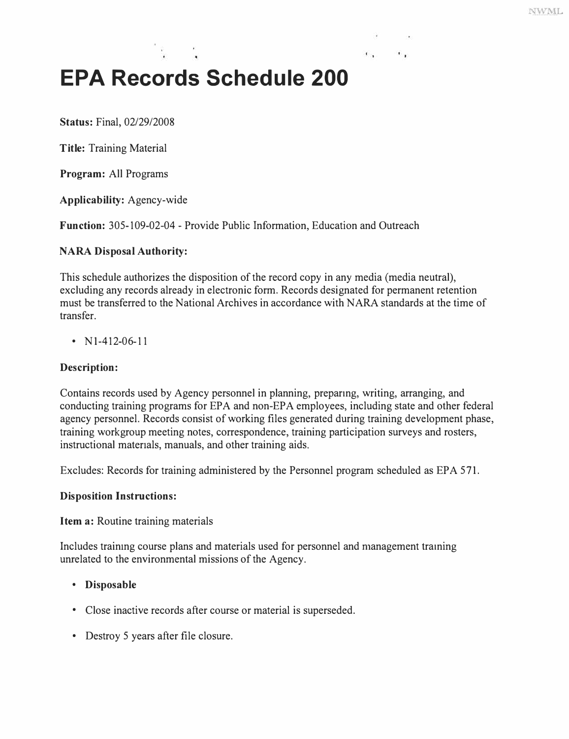# **EPA Records Schedule 200**

**Status:** Final, 02/29/2008

**Title:** Training Material

**Program:** All Programs

**Applicability:** Agency-wide

**Function:** 305-109-02-04 - Provide Public Information, Education and Outreach

#### **NARA Disposal Authority:**

This schedule authorizes the disposition of the record copy in any media (media neutral), excluding any records already in electronic form. Records designated for permanent retention must be transferred to the National Archives in accordance with NARA standards at the time of transfer.

 $\mathbf{1}$ 

•  $N1-412-06-11$ 

### **Description:**

Contains records used by Agency personnel in planning, preparmg, writing, arranging, and conducting training programs for EPA and non-EPA employees, including state and other federal agency personnel. Records consist of working files generated during training development phase, training workgroup meeting notes, correspondence, training participation surveys and rosters, instructional materials, manuals, and other training aids.

Excludes: Records for training administered by the Personnel program scheduled as EPA 571.

#### **Disposition Instructions:**

**Item a:** Routine training materials

Includes training course plans and materials used for personnel and management traming unrelated to the environmental missions of the Agency.

#### **• Disposable**

- Close inactive records after course or material is superseded.
- Destroy 5 years after file closure.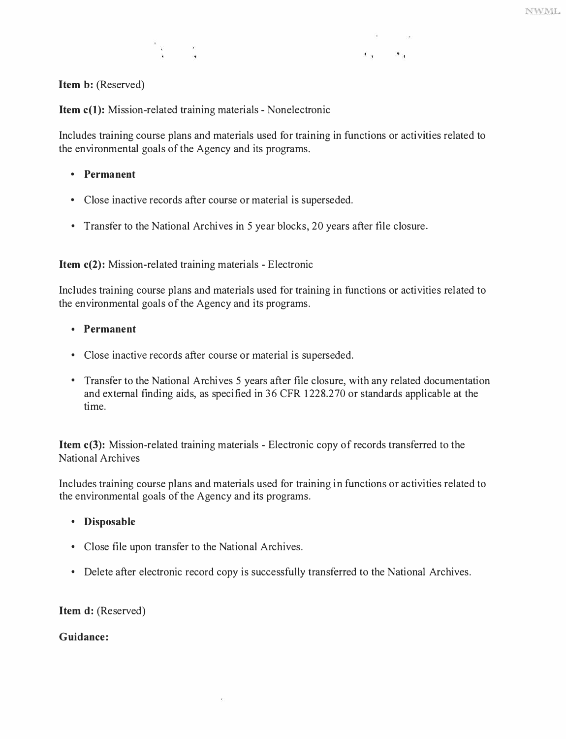**Item b: (Reserved)** 

**Item c(l): Mission-related training materials - Nonelectronic** 

ိန္း ေန

**Includes training course plans and materials used for training in functions or activities related to the environmental goals of the Agency and its programs.** 

 $\mathbf{r}_1$  and  $\mathbf{r}_2$ 

- **Permanent**
- **Close inactive records after course or material is superseded.**
- **Transfer to the National Archives in 5 year blocks, 20 years after file closure.**

**Item c(2): Mission-related training materials - Electronic** 

**Includes training course plans and materials used for training in functions or activities related to the environmental goals of the Agency and its programs.** 

- **Permanent**
- **Close inactive records after course or material is superseded.**
- **Transfer to the National Archives 5 years after file closure, with any related documentation and external finding aids, as specified in 36 CFR 1228.270 or standards applicable at the time.**

**Item c(3): Mission-related training materials - Electronic copy of records transferred to the National Archives** 

**Includes training course plans and materials used for training in functions or activities related to the environmental goals of the Agency and its programs.** 

#### **• Disposable**

- **Close file upon transfer to the National Archives.**
- **Delete after electronic record copy is successfully transferred to the National Archives.**

**Item d: (Reserved)** 

**Guidance:**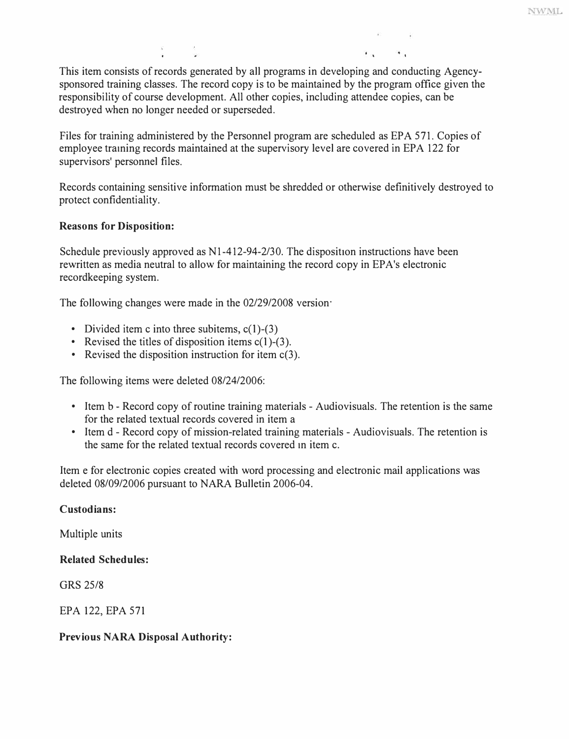This item consists of records generated by all programs in developing and conducting Agencysponsored training classes. The record copy is to be maintained by the program office given the responsibility of course development. All other copies, including attendee copies, can be destroyed when no longer needed or superseded.

Files for training administered by the Personnel program are scheduled as EPA 571. Copies of employee traming records maintained at the supervisory level are covered in EPA 122 for supervisors' personnel files.

Records containing sensitive information must be shredded or otherwise definitively destroyed to protect confidentiality.

# **Reasons for Disposition:**

Schedule previously approved as Nl-412-94-2/30. The disposition instructions have been rewritten as media neutral to allow for maintaining the record copy in EP A's electronic recordkeeping system.

The following changes were made in the 02/29/2008 version·

- 
- Divided item c into three subitems,  $c(1)$ -(3)<br>• Revised the titles of disposition items  $c(1)$ -(3).<br>• Revised the disposition instruction for item  $c(3)$ .
- 

The following items were deleted 08/24/2006:

- Item b Record copy of routine training materials Audiovisuals. The retention is the same for the related textual records covered in item a
- Item d Record copy of mission-related training materials Audiovisuals. The retention is the same for the related textual records covered m item c.

Item e for electronic copies created with word processing and electronic mail applications was deleted 08/09/2006 pursuant to NARA Bulletin 2006-04.

# **Custodians:**

Multiple units

# **Related Schedules:**

GRS 25/8

EPA 122, EPA 571

# **Previous NARA Disposal Authority:**